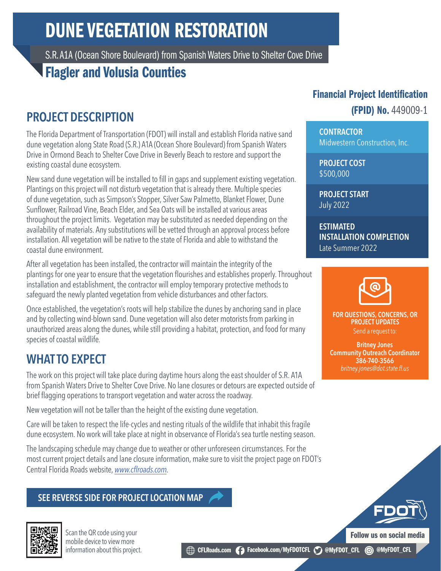# DUNE VEGETATION RESTORATION

S.R. A1A (Ocean Shore Boulevard) from Spanish Waters Drive to Shelter Cove Drive

## Flagler and Volusia Counties

## PROJECT DESCRIPTION

The Florida Department of Transportation (FDOT) will install and establish Florida native sand dune vegetation along State Road (S.R.) A1A (Ocean Shore Boulevard) from Spanish Waters Drive in Ormond Beach to Shelter Cove Drive in Beverly Beach to restore and support the existing coastal dune ecosystem.

New sand dune vegetation will be installed to fill in gaps and supplement existing vegetation. Plantings on this project will not disturb vegetation that is already there. Multiple species of dune vegetation, such as Simpson's Stopper, Silver Saw Palmetto, Blanket Flower, Dune Sunflower, Railroad Vine, Beach Elder, and Sea Oats will be installed at various areas throughout the project limits. Vegetation may be substituted as needed depending on the availability of materials. Any substitutions will be vetted through an approval process before installation. All vegetation will be native to the state of Florida and able to withstand the coastal dune environment.

After all vegetation has been installed, the contractor will maintain the integrity of the plantings for one year to ensure that the vegetation flourishes and establishes properly. Throughout installation and establishment, the contractor will employ temporary protective methods to safeguard the newly planted vegetation from vehicle disturbances and other factors.

Once established, the vegetation's roots will help stabilize the dunes by anchoring sand in place and by collecting wind-blown sand. Dune vegetation will also deter motorists from parking in unauthorized areas along the dunes, while still providing a habitat, protection, and food for many species of coastal wildlife.

## WHAT TO EXPECT

The work on this project will take place during daytime hours along the east shoulder of S.R. A1A from Spanish Waters Drive to Shelter Cove Drive. No lane closures or detours are expected outside of brief flagging operations to transport vegetation and water across the roadway.

New vegetation will not be taller than the height of the existing dune vegetation.

Care will be taken to respect the life-cycles and nesting rituals of the wildlife that inhabit this fragile dune ecosystem. No work will take place at night in observance of Florida's sea turtle nesting season.

The landscaping schedule may change due to weather or other unforeseen circumstances. For the most current project details and lane closure information, make sure to visit the project page on FDOT's Central Florida Roads website, *w[ww.cflroads.com](https://www.cflroads.com/project/449009-1)*.

#### SEE REVERSE SIDE FOR PROJECT LOCATION MAP



Scan the QR code using your mobile device to view more information about this project.

### Financial Project Identification

#### (FPID) No. 449009-1

**CONTRACTOR** Midwestern Construction, Inc.

PROJECT COST \$500,000

PROJECT START July 2022

ESTIMATED INSTALLATION COMPLETION Late Summer 2022



FOR QUESTIONS, CONCERNS, OR PROJECT UPDATES Send a request to:

Britney Jones Community Outreach Coordinator 386-740-3566 *britney.jones@dot.state.fl.us*

Follow us on social media